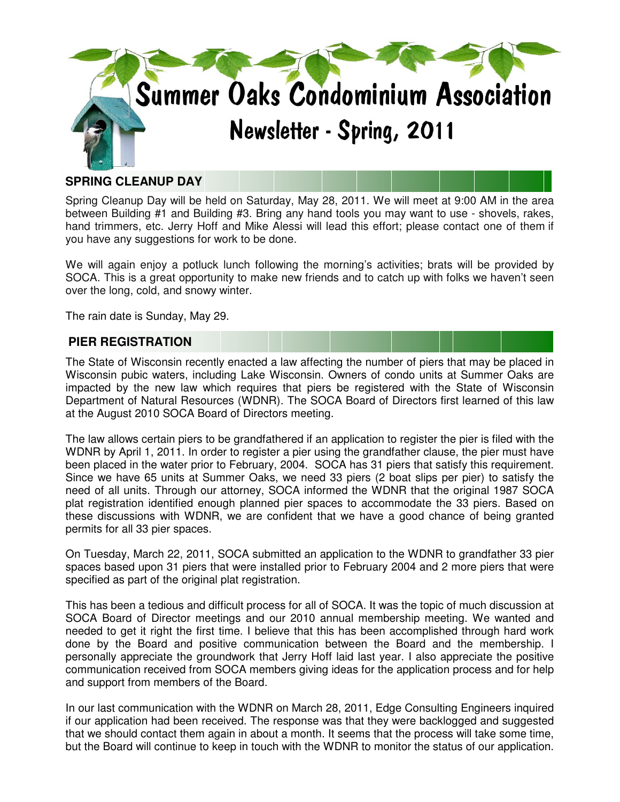

# **SPRING CLEANUP DAY**

Spring Cleanup Day will be held on Saturday, May 28, 2011. We will meet at 9:00 AM in the area between Building #1 and Building #3. Bring any hand tools you may want to use - shovels, rakes, hand trimmers, etc. Jerry Hoff and Mike Alessi will lead this effort; please contact one of them if you have any suggestions for work to be done.

We will again enjoy a potluck lunch following the morning's activities; brats will be provided by SOCA. This is a great opportunity to make new friends and to catch up with folks we haven't seen over the long, cold, and snowy winter.

The rain date is Sunday, May 29.

### **PIER REGISTRATION**

The State of Wisconsin recently enacted a law affecting the number of piers that may be placed in Wisconsin pubic waters, including Lake Wisconsin. Owners of condo units at Summer Oaks are impacted by the new law which requires that piers be registered with the State of Wisconsin Department of Natural Resources (WDNR). The SOCA Board of Directors first learned of this law at the August 2010 SOCA Board of Directors meeting.

The law allows certain piers to be grandfathered if an application to register the pier is filed with the WDNR by April 1, 2011. In order to register a pier using the grandfather clause, the pier must have been placed in the water prior to February, 2004. SOCA has 31 piers that satisfy this requirement. Since we have 65 units at Summer Oaks, we need 33 piers (2 boat slips per pier) to satisfy the need of all units. Through our attorney, SOCA informed the WDNR that the original 1987 SOCA plat registration identified enough planned pier spaces to accommodate the 33 piers. Based on these discussions with WDNR, we are confident that we have a good chance of being granted permits for all 33 pier spaces.

On Tuesday, March 22, 2011, SOCA submitted an application to the WDNR to grandfather 33 pier spaces based upon 31 piers that were installed prior to February 2004 and 2 more piers that were specified as part of the original plat registration.

This has been a tedious and difficult process for all of SOCA. It was the topic of much discussion at SOCA Board of Director meetings and our 2010 annual membership meeting. We wanted and needed to get it right the first time. I believe that this has been accomplished through hard work done by the Board and positive communication between the Board and the membership. I personally appreciate the groundwork that Jerry Hoff laid last year. I also appreciate the positive communication received from SOCA members giving ideas for the application process and for help and support from members of the Board.

In our last communication with the WDNR on March 28, 2011, Edge Consulting Engineers inquired if our application had been received. The response was that they were backlogged and suggested that we should contact them again in about a month. It seems that the process will take some time, but the Board will continue to keep in touch with the WDNR to monitor the status of our application.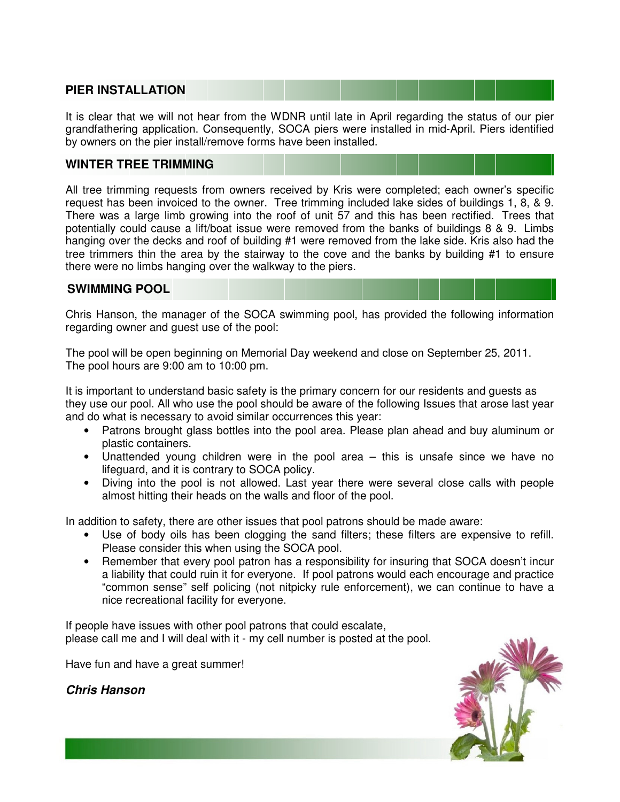## **PIER INSTALLATION**

It is clear that we will not hear from the WDNR until late in April regarding the status of our pier grandfathering application. Consequently, SOCA piers were installed in mid-April. Piers identified by owners on the pier install/remove forms have been installed.

### **WINTER TREE TRIMMING**

All tree trimming requests from owners received by Kris were completed; each owner's specific request has been invoiced to the owner. Tree trimming included lake sides of buildings 1, 8, & 9. There was a large limb growing into the roof of unit 57 and this has been rectified. Trees that potentially could cause a lift/boat issue were removed from the banks of buildings 8 & 9. Limbs hanging over the decks and roof of building #1 were removed from the lake side. Kris also had the tree trimmers thin the area by the stairway to the cove and the banks by building #1 to ensure there were no limbs hanging over the walkway to the piers.

#### **SWIMMING POOL**

Chris Hanson, the manager of the SOCA swimming pool, has provided the following information regarding owner and guest use of the pool:

The pool will be open beginning on Memorial Day weekend and close on September 25, 2011. The pool hours are 9:00 am to 10:00 pm.

It is important to understand basic safety is the primary concern for our residents and guests as they use our pool. All who use the pool should be aware of the following Issues that arose last year and do what is necessary to avoid similar occurrences this year:

- Patrons brought glass bottles into the pool area. Please plan ahead and buy aluminum or plastic containers.
- Unattended young children were in the pool area this is unsafe since we have no lifeguard, and it is contrary to SOCA policy.
- Diving into the pool is not allowed. Last year there were several close calls with people almost hitting their heads on the walls and floor of the pool.

In addition to safety, there are other issues that pool patrons should be made aware:

- Use of body oils has been clogging the sand filters; these filters are expensive to refill. Please consider this when using the SOCA pool.
- Remember that every pool patron has a responsibility for insuring that SOCA doesn't incur a liability that could ruin it for everyone. If pool patrons would each encourage and practice "common sense" self policing (not nitpicky rule enforcement), we can continue to have a nice recreational facility for everyone.

If people have issues with other pool patrons that could escalate, please call me and I will deal with it - my cell number is posted at the pool.

Have fun and have a great summer!

**Chris Hanson**